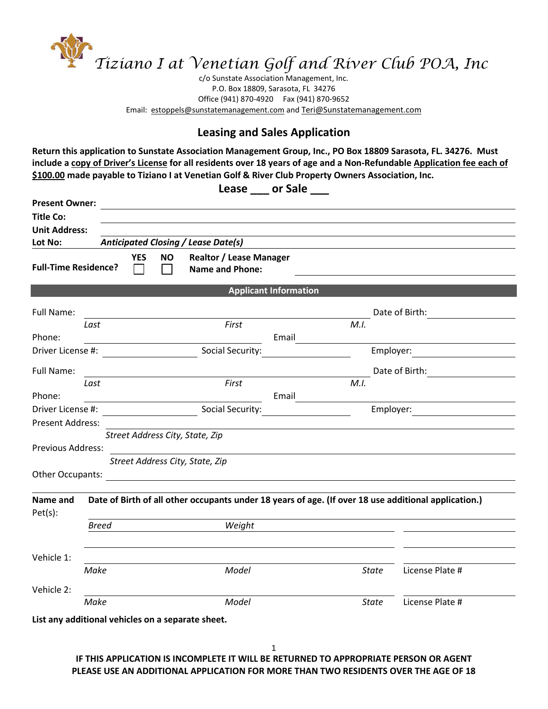

c/o Sunstate Association Management, Inc. P.O. Box 18809, Sarasota, FL 34276 Office (941) 870-4920 Fax (941) 870-9652 Email: estoppels@sunstatemanagement.com and Teri@Sunstatemanagement.com

## **Leasing and Sales Application**

**Return this application to Sunstate Association Management Group, Inc., PO Box 18809 Sarasota, FL. 34276. Must include a copy of Driver's License for all residents over 18 years of age and a Non-Refundable Application fee each of \$100.00 made payable to Tiziano I at Venetian Golf & River Club Property Owners Association, Inc.**

Lease or Sale

| <b>Present Owner:</b>                                                                                        |                                                                                                      | <u> 1989 - Johann John Stein, fransk politik (d. 1989)</u> |              |                                                                                                                                                                                                                                |  |  |  |  |
|--------------------------------------------------------------------------------------------------------------|------------------------------------------------------------------------------------------------------|------------------------------------------------------------|--------------|--------------------------------------------------------------------------------------------------------------------------------------------------------------------------------------------------------------------------------|--|--|--|--|
| <b>Title Co:</b>                                                                                             |                                                                                                      |                                                            |              |                                                                                                                                                                                                                                |  |  |  |  |
| <b>Unit Address:</b>                                                                                         |                                                                                                      |                                                            |              |                                                                                                                                                                                                                                |  |  |  |  |
| Lot No:                                                                                                      |                                                                                                      | <b>Anticipated Closing / Lease Date(s)</b>                 |              |                                                                                                                                                                                                                                |  |  |  |  |
| <b>Realtor / Lease Manager</b><br><b>YES</b><br>NO.<br><b>Full-Time Residence?</b><br><b>Name and Phone:</b> |                                                                                                      |                                                            |              |                                                                                                                                                                                                                                |  |  |  |  |
|                                                                                                              |                                                                                                      | <b>Applicant Information</b>                               |              |                                                                                                                                                                                                                                |  |  |  |  |
| Full Name:                                                                                                   |                                                                                                      |                                                            |              | Date of Birth:                                                                                                                                                                                                                 |  |  |  |  |
|                                                                                                              | Last                                                                                                 | First                                                      | M.I.         |                                                                                                                                                                                                                                |  |  |  |  |
| Phone:                                                                                                       |                                                                                                      | Email                                                      |              |                                                                                                                                                                                                                                |  |  |  |  |
|                                                                                                              |                                                                                                      |                                                            |              | Employer:                                                                                                                                                                                                                      |  |  |  |  |
| Full Name:                                                                                                   |                                                                                                      |                                                            |              |                                                                                                                                                                                                                                |  |  |  |  |
|                                                                                                              | Last                                                                                                 | First                                                      | M.I.         |                                                                                                                                                                                                                                |  |  |  |  |
| Phone:                                                                                                       |                                                                                                      | Email                                                      |              |                                                                                                                                                                                                                                |  |  |  |  |
| Driver License #:                                                                                            |                                                                                                      |                                                            |              | Employer: The control of the control of the control of the control of the control of the control of the control of the control of the control of the control of the control of the control of the control of the control of th |  |  |  |  |
| Present Address:                                                                                             |                                                                                                      |                                                            |              |                                                                                                                                                                                                                                |  |  |  |  |
|                                                                                                              |                                                                                                      | Street Address City, State, Zip                            |              |                                                                                                                                                                                                                                |  |  |  |  |
| Previous Address:                                                                                            |                                                                                                      |                                                            |              |                                                                                                                                                                                                                                |  |  |  |  |
|                                                                                                              |                                                                                                      | Street Address City, State, Zip                            |              |                                                                                                                                                                                                                                |  |  |  |  |
|                                                                                                              |                                                                                                      |                                                            |              |                                                                                                                                                                                                                                |  |  |  |  |
| Name and<br>Pet(s):                                                                                          | Date of Birth of all other occupants under 18 years of age. (If over 18 use additional application.) |                                                            |              |                                                                                                                                                                                                                                |  |  |  |  |
|                                                                                                              | <b>Breed</b>                                                                                         | Weight                                                     |              |                                                                                                                                                                                                                                |  |  |  |  |
| Vehicle 1:                                                                                                   |                                                                                                      |                                                            |              |                                                                                                                                                                                                                                |  |  |  |  |
|                                                                                                              | Make                                                                                                 | Model                                                      | <b>State</b> | License Plate #                                                                                                                                                                                                                |  |  |  |  |
| Vehicle 2:                                                                                                   |                                                                                                      |                                                            |              |                                                                                                                                                                                                                                |  |  |  |  |
|                                                                                                              | Make                                                                                                 | Model                                                      | State        | License Plate #                                                                                                                                                                                                                |  |  |  |  |
|                                                                                                              |                                                                                                      | List any additional vehicles on a separate sheet.          |              |                                                                                                                                                                                                                                |  |  |  |  |

**IF THIS APPLICATION IS INCOMPLETE IT WILL BE RETURNED TO APPROPRIATE PERSON OR AGENT PLEASE USE AN ADDITIONAL APPLICATION FOR MORE THAN TWO RESIDENTS OVER THE AGE OF 18**